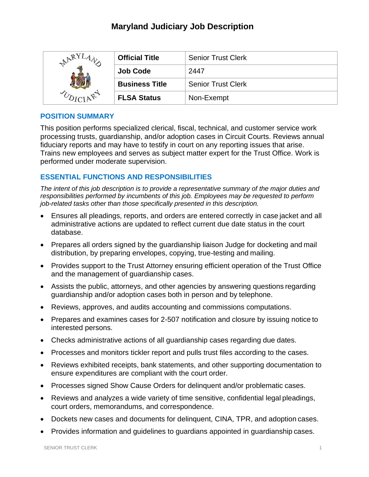# **Maryland Judiciary Job Description**

| <b>ARY</b> | <b>Official Title</b> | <b>Senior Trust Clerk</b> |
|------------|-----------------------|---------------------------|
|            | <b>Job Code</b>       | 2447                      |
|            | <b>Business Title</b> | <b>Senior Trust Clerk</b> |
|            | <b>FLSA Status</b>    | Non-Exempt                |

## **POSITION SUMMARY**

This position performs specialized clerical, fiscal, technical, and customer service work processing trusts, guardianship, and/or adoption cases in Circuit Courts. Reviews annual fiduciary reports and may have to testify in court on any reporting issues that arise. Trains new employees and serves as subject matter expert for the Trust Office. Work is performed under moderate supervision.

## **ESSENTIAL FUNCTIONS AND RESPONSIBILITIES**

*The intent of this job description is to provide a representative summary of the major duties and responsibilities performed by incumbents of this job. Employees may be requested to perform job-related tasks other than those specifically presented in this description.*

- Ensures all pleadings, reports, and orders are entered correctly in case jacket and all administrative actions are updated to reflect current due date status in the court database.
- Prepares all orders signed by the guardianship liaison Judge for docketing and mail distribution, by preparing envelopes, copying, true-testing and mailing.
- Provides support to the Trust Attorney ensuring efficient operation of the Trust Office and the management of guardianship cases.
- Assists the public, attorneys, and other agencies by answering questions regarding guardianship and/or adoption cases both in person and by telephone.
- Reviews, approves, and audits accounting and commissions computations.
- Prepares and examines cases for 2-507 notification and closure by issuing notice to interested persons.
- Checks administrative actions of all guardianship cases regarding due dates.
- Processes and monitors tickler report and pulls trust files according to the cases.
- Reviews exhibited receipts, bank statements, and other supporting documentation to ensure expenditures are compliant with the court order.
- Processes signed Show Cause Orders for delinquent and/or problematic cases.
- Reviews and analyzes a wide variety of time sensitive, confidential legal pleadings, court orders, memorandums, and correspondence.
- Dockets new cases and documents for delinquent, CINA, TPR, and adoption cases.
- Provides information and guidelines to guardians appointed in guardianship cases.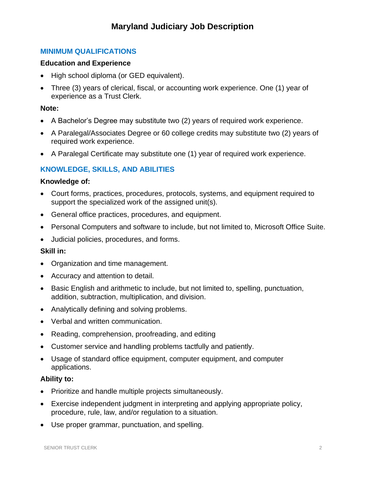## **MINIMUM QUALIFICATIONS**

## **Education and Experience**

- High school diploma (or GED equivalent).
- Three (3) years of clerical, fiscal, or accounting work experience. One (1) year of experience as a Trust Clerk.

## **Note:**

- A Bachelor's Degree may substitute two (2) years of required work experience.
- A Paralegal/Associates Degree or 60 college credits may substitute two (2) years of required work experience.
- A Paralegal Certificate may substitute one (1) year of required work experience.

## **KNOWLEDGE, SKILLS, AND ABILITIES**

## **Knowledge of:**

- Court forms, practices, procedures, protocols, systems, and equipment required to support the specialized work of the assigned unit(s).
- General office practices, procedures, and equipment.
- Personal Computers and software to include, but not limited to, Microsoft Office Suite.
- Judicial policies, procedures, and forms.

## **Skill in:**

- Organization and time management.
- Accuracy and attention to detail.
- Basic English and arithmetic to include, but not limited to, spelling, punctuation, addition, subtraction, multiplication, and division.
- Analytically defining and solving problems.
- Verbal and written communication.
- Reading, comprehension, proofreading, and editing
- Customer service and handling problems tactfully and patiently.
- Usage of standard office equipment, computer equipment, and computer applications.

## **Ability to:**

- Prioritize and handle multiple projects simultaneously.
- Exercise independent judgment in interpreting and applying appropriate policy, procedure, rule, law, and/or regulation to a situation.
- Use proper grammar, punctuation, and spelling.